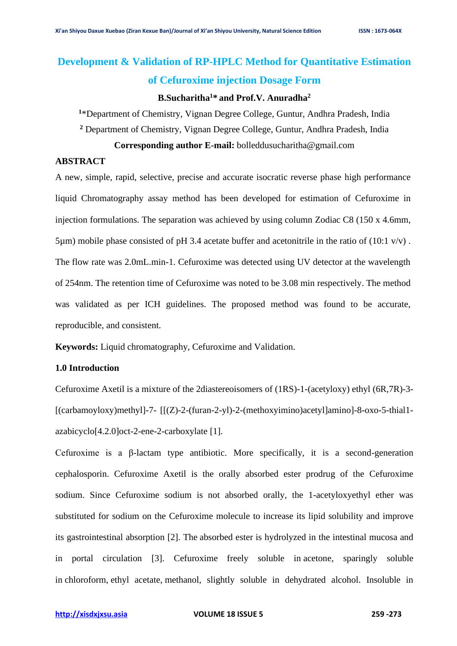# **Development & Validation of RP-HPLC Method for Quantitative Estimation of Cefuroxime injection Dosage Form**

# **B.Sucharitha<sup>1</sup>\* and Prof.V. Anuradha<sup>2</sup>**

**<sup>1</sup>**\*Department of Chemistry, Vignan Degree College, Guntur, Andhra Pradesh, India

**<sup>2</sup>** Department of Chemistry, Vignan Degree College, Guntur, Andhra Pradesh, India

**Corresponding author E-mail:** bolleddusucharitha@gmail.com

# **ABSTRACT**

A new, simple, rapid, selective, precise and accurate isocratic reverse phase high performance liquid Chromatography assay method has been developed for estimation of Cefuroxime in injection formulations. The separation was achieved by using column Zodiac C8 (150 x 4.6mm, 5um) mobile phase consisted of pH 3.4 acetate buffer and acetonitrile in the ratio of  $(10.1 \text{ v/v})$ . The flow rate was 2.0mL.min-1. Cefuroxime was detected using UV detector at the wavelength of 254nm. The retention time of Cefuroxime was noted to be 3.08 min respectively. The method was validated as per ICH guidelines. The proposed method was found to be accurate, reproducible, and consistent.

**Keywords:** Liquid chromatography, Cefuroxime and Validation.

# **1.0 Introduction**

Cefuroxime Axetil is a mixture of the 2diastereoisomers of (1RS)-1-(acetyloxy) ethyl (6R,7R)-3-  $[(carbamoyloxy)$ methyl]-7-  $[[(Z)-2-(furan-2-y])-2-(methoxyimino)acetylamino] -8-oxo-5-thial1$ azabicyclo[4.2.0]oct-2-ene-2-carboxylate [1].

Cefuroxime is a β-lactam type antibiotic. More specifically, it is a second-generation cephalosporin. Cefuroxime Axetil is the orally absorbed ester prodrug of the Cefuroxime sodium. Since Cefuroxime sodium is not absorbed orally, the 1-acetyloxyethyl ether was substituted for sodium on the Cefuroxime molecule to increase its lipid solubility and improve its gastrointestinal absorption [2]. The absorbed ester is hydrolyzed in the intestinal mucosa and in portal circulation [3]. Cefuroxime freely soluble in [acetone,](https://pubchem.ncbi.nlm.nih.gov/compound/acetone) sparingly soluble in [chloroform,](https://pubchem.ncbi.nlm.nih.gov/compound/chloroform) [ethyl acetate,](https://pubchem.ncbi.nlm.nih.gov/compound/ethyl%20acetate) [methanol,](https://pubchem.ncbi.nlm.nih.gov/compound/methanol) slightly soluble in dehydrated alcohol. Insoluble in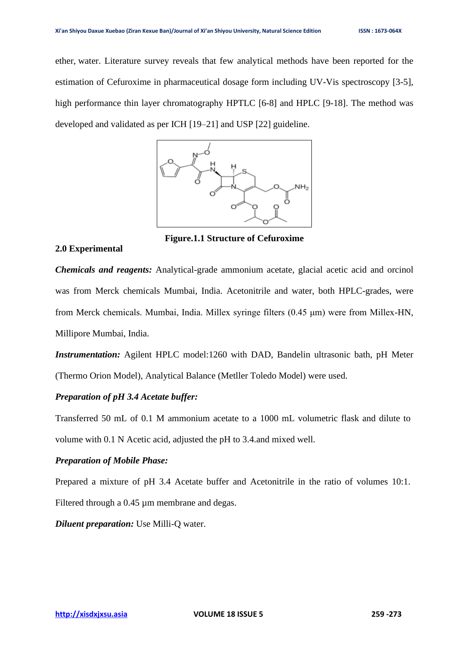ether, [water.](https://pubchem.ncbi.nlm.nih.gov/compound/water) Literature survey reveals that few analytical methods have been reported for the estimation of Cefuroxime in pharmaceutical dosage form including UV-Vis spectroscopy [3-5], high performance thin layer chromatography HPTLC [6-8] and HPLC [9-18]. The method was developed and validated as per ICH [19–21] and USP [22] guideline.



**Figure.1.1 Structure of Cefuroxime**

**2.0 Experimental**

*Chemicals and reagents:* Analytical-grade ammonium acetate, glacial acetic acid and orcinol was from Merck chemicals Mumbai, India. Acetonitrile and water, both HPLC-grades, were from Merck chemicals. Mumbai, India. Millex syringe filters (0.45 μm) were from Millex-HN, Millipore Mumbai, India.

*Instrumentation:* Agilent HPLC model:1260 with DAD, Bandelin ultrasonic bath, pH Meter (Thermo Orion Model), Analytical Balance (Metller Toledo Model) were used.

# *Preparation of pH 3.4 Acetate buffer:*

Transferred 50 mL of 0.1 M ammonium acetate to a 1000 mL volumetric flask and dilute to volume with 0.1 N Acetic acid, adjusted the pH to 3.4.and mixed well.

#### *Preparation of Mobile Phase:*

Prepared a mixture of pH 3.4 Acetate buffer and Acetonitrile in the ratio of volumes 10:1. Filtered through a 0.45 µm membrane and degas.

*Diluent preparation:* Use Milli-Q water.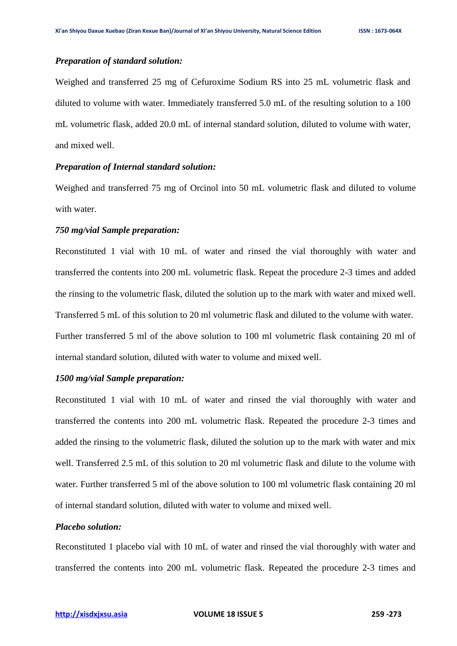#### *Preparation of standard solution:*

Weighed and transferred 25 mg of Cefuroxime Sodium RS into 25 mL volumetric flask and diluted to volume with water. Immediately transferred 5.0 mL of the resulting solution to a 100 mL volumetric flask, added 20.0 mL of internal standard solution, diluted to volume with water, and mixed well.

## *Preparation of Internal standard solution:*

Weighed and transferred 75 mg of Orcinol into 50 mL volumetric flask and diluted to volume with water.

## *750 mg/vial Sample preparation:*

Reconstituted 1 vial with 10 mL of water and rinsed the vial thoroughly with water and transferred the contents into 200 mL volumetric flask. Repeat the procedure 2-3 times and added the rinsing to the volumetric flask, diluted the solution up to the mark with water and mixed well. Transferred 5 mL of this solution to 20 ml volumetric flask and diluted to the volume with water. Further transferred 5 ml of the above solution to 100 ml volumetric flask containing 20 ml of internal standard solution, diluted with water to volume and mixed well.

#### *1500 mg/vial Sample preparation:*

Reconstituted 1 vial with 10 mL of water and rinsed the vial thoroughly with water and transferred the contents into 200 mL volumetric flask. Repeated the procedure 2-3 times and added the rinsing to the volumetric flask, diluted the solution up to the mark with water and mix well. Transferred 2.5 mL of this solution to 20 ml volumetric flask and dilute to the volume with water. Further transferred 5 ml of the above solution to 100 ml volumetric flask containing 20 ml of internal standard solution, diluted with water to volume and mixed well.

# *Placebo solution:*

Reconstituted 1 placebo vial with 10 mL of water and rinsed the vial thoroughly with water and transferred the contents into 200 mL volumetric flask. Repeated the procedure 2-3 times and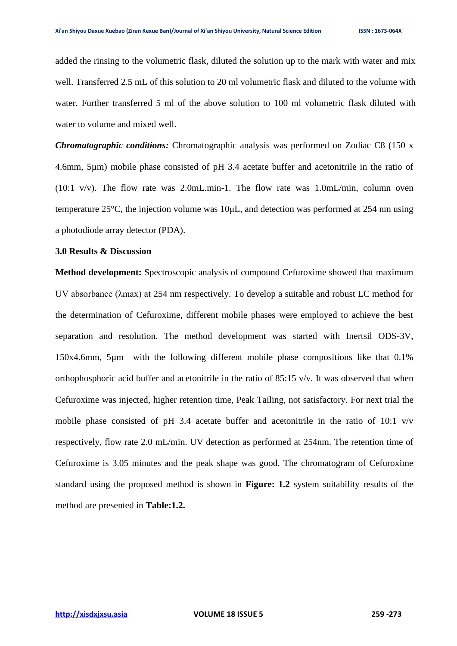added the rinsing to the volumetric flask, diluted the solution up to the mark with water and mix well. Transferred 2.5 mL of this solution to 20 ml volumetric flask and diluted to the volume with water. Further transferred 5 ml of the above solution to 100 ml volumetric flask diluted with water to volume and mixed well.

*Chromatographic conditions:* Chromatographic analysis was performed on Zodiac C8 (150 x 4.6mm, 5µm) mobile phase consisted of pH 3.4 acetate buffer and acetonitrile in the ratio of (10:1 v/v). The flow rate was 2.0mL.min-1. The flow rate was 1.0mL/min, column oven temperature 25°C, the injection volume was 10μL*,* and detection was performed at 254 nm using a photodiode array detector (PDA).

#### **3.0 Results & Discussion**

**Method development:** Spectroscopic analysis of compound Cefuroxime showed that maximum UV absorbance (λmax) at 254 nm respectively. To develop a suitable and robust LC method for the determination of Cefuroxime, different mobile phases were employed to achieve the best separation and resolution. The method development was started with Inertsil ODS-3V, 150x4.6mm, 5µm with the following different mobile phase compositions like that 0.1% orthophosphoric acid buffer and acetonitrile in the ratio of  $85:15 \frac{\nu}{\nu}$ . It was observed that when Cefuroxime was injected, higher retention time, Peak Tailing, not satisfactory. For next trial the mobile phase consisted of pH 3.4 acetate buffer and acetonitrile in the ratio of 10:1 v/v respectively, flow rate 2.0 mL/min. UV detection as performed at 254nm. The retention time of Cefuroxime is 3.05 minutes and the peak shape was good. The chromatogram of Cefuroxime standard using the proposed method is shown in **Figure: 1.2** system suitability results of the method are presented in **Table:1.2.**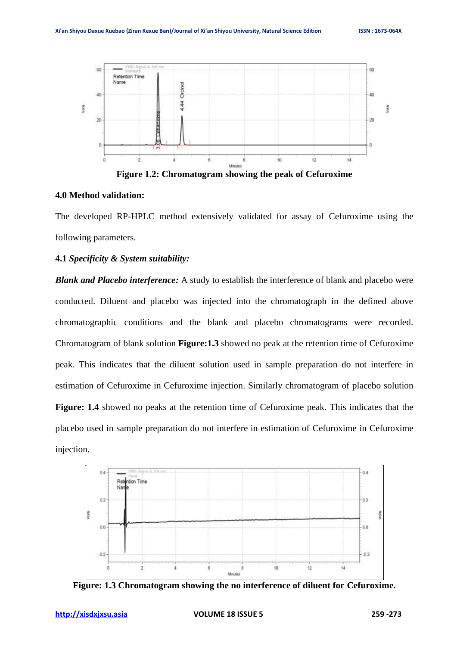

**Figure 1.2: Chromatogram showing the peak of Cefuroxime**

#### **4.0 Method validation:**

The developed RP-HPLC method extensively validated for assay of Cefuroxime using the following parameters.

### **4.1** *Specificity & System suitability:*

*Blank and Placebo interference:* A study to establish the interference of blank and placebo were conducted. Diluent and placebo was injected into the chromatograph in the defined above chromatographic conditions and the blank and placebo chromatograms were recorded. Chromatogram of blank solution **Figure:1.3** showed no peak at the retention time of Cefuroxime peak. This indicates that the diluent solution used in sample preparation do not interfere in estimation of Cefuroxime in Cefuroxime injection. Similarly chromatogram of placebo solution **Figure: 1.4** showed no peaks at the retention time of Cefuroxime peak. This indicates that the placebo used in sample preparation do not interfere in estimation of Cefuroxime in Cefuroxime injection.



**Figure: 1.3 Chromatogram showing the no interference of diluent for Cefuroxime.**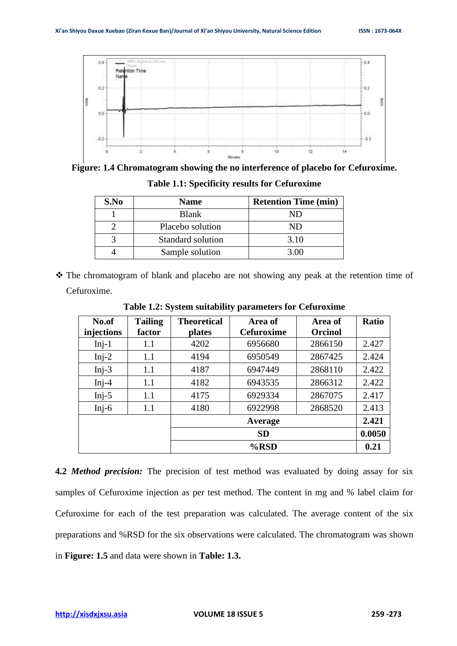

**Figure: 1.4 Chromatogram showing the no interference of placebo for Cefuroxime.**

| S.No | <b>Name</b>       | <b>Retention Time (min)</b> |
|------|-------------------|-----------------------------|
|      | <b>Blank</b>      | ND                          |
|      | Placebo solution  | ND                          |
|      | Standard solution | 3.10                        |
|      | Sample solution   | 3.00                        |

**Table 1.1: Specificity results for Cefuroxime**

❖ The chromatogram of blank and placebo are not showing any peak at the retention time of Cefuroxime.

| No.of      | <b>Tailing</b> | <b>Theoretical</b> | Area of           | Area of        | <b>Ratio</b> |
|------------|----------------|--------------------|-------------------|----------------|--------------|
| injections | factor         | plates             | <b>Cefuroxime</b> | <b>Orcinol</b> |              |
| $Inj-1$    | 1.1            | 4202               | 6956680           | 2866150        | 2.427        |
| $Inj-2$    | 1.1            | 4194               | 6950549           | 2867425        | 2.424        |
| $Inj-3$    | 1.1            | 4187               | 6947449           | 2868110        | 2.422        |
| $Inj-4$    | 1.1            | 4182               | 6943535           | 2866312        | 2.422        |
| Inj- $5$   | 1.1            | 4175               | 6929334           | 2867075        | 2.417        |
| Inj- $6$   | 1.1            | 4180               | 6922998           | 2868520        | 2.413        |
|            |                |                    | Average           |                | 2.421        |
|            |                |                    | <b>SD</b>         |                | 0.0050       |
|            |                |                    | $%$ RSD           |                | 0.21         |

**Table 1.2: System suitability parameters for Cefuroxime**

**4.2** *Method precision:* The precision of test method was evaluated by doing assay for six samples of Cefuroxime injection as per test method. The content in mg and % label claim for Cefuroxime for each of the test preparation was calculated. The average content of the six preparations and %RSD for the six observations were calculated. The chromatogram was shown in **Figure: 1.5** and data were shown in **Table: 1.3.**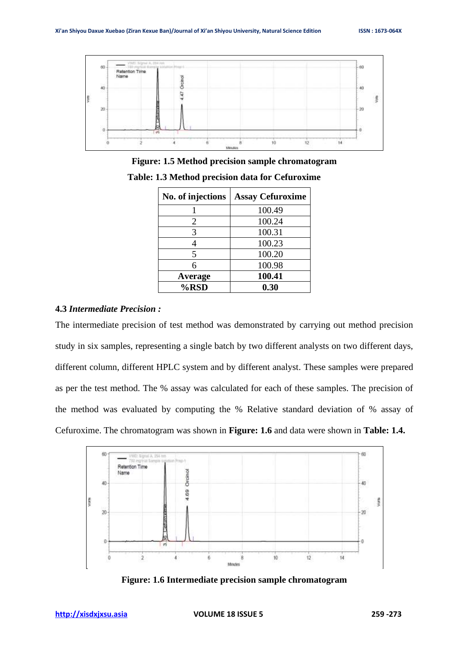

**Figure: 1.5 Method precision sample chromatogram Table: 1.3 Method precision data for Cefuroxime**

| No. of injections | <b>Assay Cefuroxime</b> |
|-------------------|-------------------------|
|                   | 100.49                  |
| 2                 | 100.24                  |
| 3                 | 100.31                  |
|                   | 100.23                  |
| 5                 | 100.20                  |
| 6                 | 100.98                  |
| Average           | 100.41                  |
| %RSD              | 0.30                    |

## **4.3** *Intermediate Precision :*

The intermediate precision of test method was demonstrated by carrying out method precision study in six samples, representing a single batch by two different analysts on two different days, different column, different HPLC system and by different analyst. These samples were prepared as per the test method. The % assay was calculated for each of these samples. The precision of the method was evaluated by computing the % Relative standard deviation of % assay of Cefuroxime. The chromatogram was shown in **Figure: 1.6** and data were shown in **Table: 1.4.**



**Figure: 1.6 Intermediate precision sample chromatogram**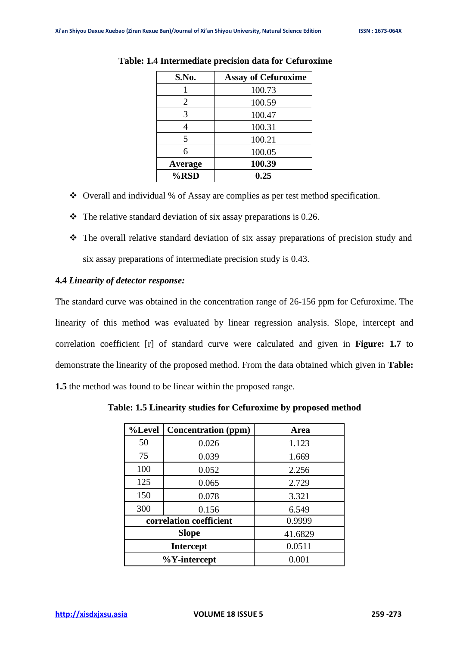| S.No.   | <b>Assay of Cefuroxime</b> |
|---------|----------------------------|
|         | 100.73                     |
| 2       | 100.59                     |
| 3       | 100.47                     |
| 4       | 100.31                     |
| 5       | 100.21                     |
| 6       | 100.05                     |
| Average | 100.39                     |
| %RSD    | 0.25                       |

#### **Table: 1.4 Intermediate precision data for Cefuroxime**

- ❖ Overall and individual % of Assay are complies as per test method specification.
- $\cdot \cdot$  The relative standard deviation of six assay preparations is 0.26.
- ❖ The overall relative standard deviation of six assay preparations of precision study and six assay preparations of intermediate precision study is 0.43.

#### **4.4** *Linearity of detector response:*

The standard curve was obtained in the concentration range of 26-156 ppm for Cefuroxime. The linearity of this method was evaluated by linear regression analysis. Slope, intercept and correlation coefficient [r] of standard curve were calculated and given in **Figure: 1.7** to demonstrate the linearity of the proposed method. From the data obtained which given in **Table: 1.5** the method was found to be linear within the proposed range.

| %Level                  | <b>Concentration</b> (ppm) | Area    |
|-------------------------|----------------------------|---------|
| 50                      | 0.026                      | 1.123   |
| 75                      | 0.039                      | 1.669   |
| 100                     | 0.052                      | 2.256   |
| 125                     | 0.065                      | 2.729   |
| 150                     | 0.078                      | 3.321   |
| 300                     | 0.156                      | 6.549   |
| correlation coefficient |                            | 0.9999  |
| <b>Slope</b>            |                            | 41.6829 |
| <b>Intercept</b>        |                            | 0.0511  |
| $\%$ Y-intercept        |                            | 0.001   |

**Table: 1.5 Linearity studies for Cefuroxime by proposed method**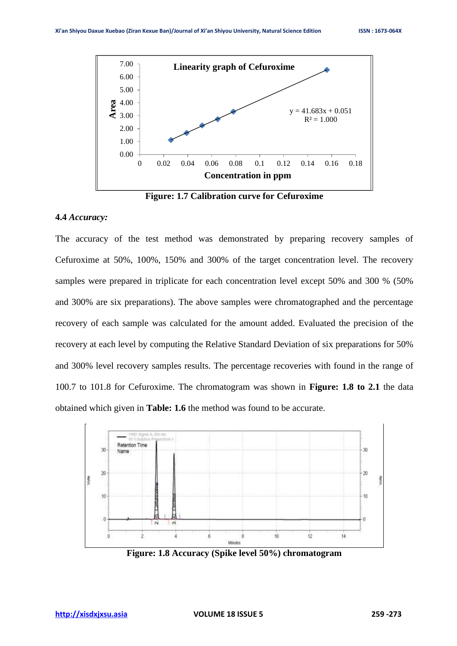

**Figure: 1.7 Calibration curve for Cefuroxime**

#### **4.4** *Accuracy:*

The accuracy of the test method was demonstrated by preparing recovery samples of Cefuroxime at 50%, 100%, 150% and 300% of the target concentration level. The recovery samples were prepared in triplicate for each concentration level except 50% and 300 % (50%) and 300% are six preparations). The above samples were chromatographed and the percentage recovery of each sample was calculated for the amount added. Evaluated the precision of the recovery at each level by computing the Relative Standard Deviation of six preparations for 50% and 300% level recovery samples results. The percentage recoveries with found in the range of 100.7 to 101.8 for Cefuroxime. The chromatogram was shown in **Figure: 1.8 to 2.1** the data obtained which given in **Table: 1.6** the method was found to be accurate.



**Figure: 1.8 Accuracy (Spike level 50%) chromatogram**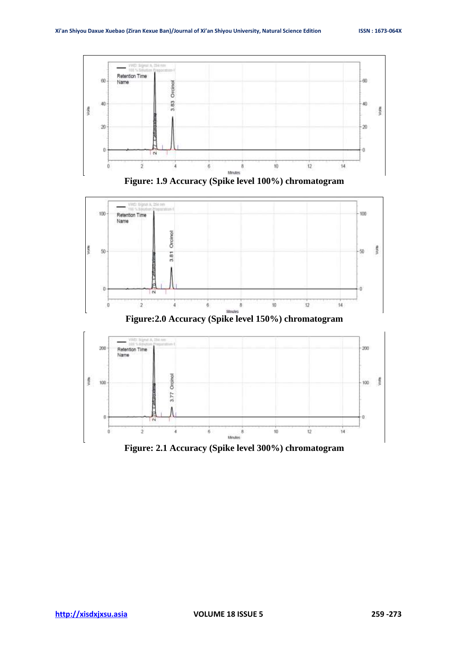





**Figure:2.0 Accuracy (Spike level 150%) chromatogram**



**Figure: 2.1 Accuracy (Spike level 300%) chromatogram**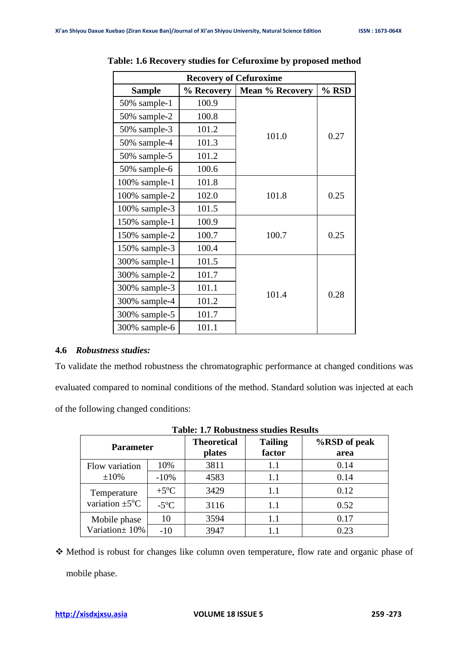| <b>Recovery of Cefuroxime</b> |            |                        |       |  |
|-------------------------------|------------|------------------------|-------|--|
| <b>Sample</b>                 | % Recovery | <b>Mean % Recovery</b> | % RSD |  |
| 50% sample-1                  | 100.9      |                        |       |  |
| 50% sample-2                  | 100.8      |                        |       |  |
| 50% sample-3                  | 101.2      | 101.0                  | 0.27  |  |
| 50% sample-4                  | 101.3      |                        |       |  |
| 50% sample-5                  | 101.2      |                        |       |  |
| 50% sample-6                  | 100.6      |                        |       |  |
| 100% sample-1                 | 101.8      |                        |       |  |
| 100% sample-2                 | 102.0      | 101.8                  | 0.25  |  |
| 100% sample-3                 | 101.5      |                        |       |  |
| 150% sample-1                 | 100.9      |                        |       |  |
| 150% sample-2                 | 100.7      | 100.7                  | 0.25  |  |
| 150% sample-3                 | 100.4      |                        |       |  |
| 300% sample-1                 | 101.5      |                        |       |  |
| 300% sample-2                 | 101.7      |                        |       |  |
| 300% sample-3                 | 101.1      | 101.4                  | 0.28  |  |
| 300% sample-4                 | 101.2      |                        |       |  |
| 300% sample-5                 | 101.7      |                        |       |  |
| 300% sample-6                 | 101.1      |                        |       |  |

**Table: 1.6 Recovery studies for Cefuroxime by proposed method**

# **4.6** *Robustness studies:*

To validate the method robustness the chromatographic performance at changed conditions was evaluated compared to nominal conditions of the method. Standard solution was injected at each of the following changed conditions:

| <b>Parameter</b>                           |                     | <b>Theoretical</b><br>plates | <b>Tailing</b><br>factor | %RSD of peak<br>area |
|--------------------------------------------|---------------------|------------------------------|--------------------------|----------------------|
| Flow variation                             | 10%                 | 3811                         | 1.1                      | 0.14                 |
| $\pm 10\%$                                 | $-10%$              | 4583                         | 1.1                      | 0.14                 |
| Temperature<br>variation $\pm 5^{\circ}$ C | $+5$ <sup>o</sup> C | 3429                         | 1.1                      | 0.12                 |
|                                            | $-5^{\circ}C$       | 3116                         | 1.1                      | 0.52                 |
| Mobile phase                               | 10                  | 3594                         | 1.1                      | 0.17                 |
| Variation ± 10%                            | $-10$               | 3947                         |                          | 0.23                 |

**Table: 1.7 Robustness studies Results**

❖ Method is robust for changes like column oven temperature, flow rate and organic phase of mobile phase.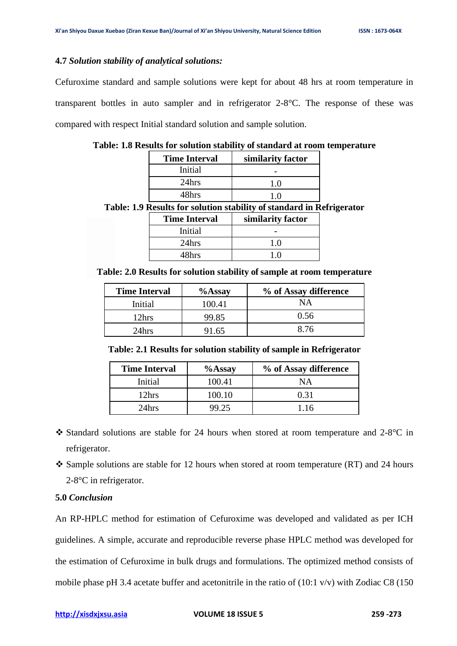## **4.7** *Solution stability of analytical solutions:*

Cefuroxime standard and sample solutions were kept for about 48 hrs at room temperature in transparent bottles in auto sampler and in refrigerator 2-8°C. The response of these was compared with respect Initial standard solution and sample solution.

| <b>Time Interval</b> | similarity factor |
|----------------------|-------------------|
| Initial              |                   |
| 24hrs                | 1.0               |
| 48hrs                | 10                |
|                      |                   |

**Table: 1.8 Results for solution stability of standard at room temperature**

**Table: 1.9 Results for solution stability of standard in Refrigerator**

| <b>Time Interval</b> | similarity factor |
|----------------------|-------------------|
| Initial              |                   |
| 24hrs                | 10                |
| 48hrs                |                   |

**Table: 2.0 Results for solution stability of sample at room temperature**

| <b>Time Interval</b> | $%$ Assay | % of Assay difference |
|----------------------|-----------|-----------------------|
| Initial              | 100.41    | ΝA                    |
| 12hrs                | 99.85     | 0.56                  |
| 24hrs                | l 65      | 8.76                  |

**Table: 2.1 Results for solution stability of sample in Refrigerator**

| <b>Time Interval</b> | $%$ Assay | % of Assay difference |
|----------------------|-----------|-----------------------|
| Initial              | 100.41    | NΑ                    |
| 12hrs                | 100.10    | 0.31                  |
| 24hrs                | 79 75     | 1.16                  |

- ❖ Standard solutions are stable for 24 hours when stored at room temperature and 2-8°C in refrigerator.
- $\div$  Sample solutions are stable for 12 hours when stored at room temperature (RT) and 24 hours 2-8°C in refrigerator.

## **5.0** *Conclusion*

An RP-HPLC method for estimation of Cefuroxime was developed and validated as per ICH guidelines. A simple, accurate and reproducible reverse phase HPLC method was developed for the estimation of Cefuroxime in bulk drugs and formulations. The optimized method consists of mobile phase pH 3.4 acetate buffer and acetonitrile in the ratio of (10:1 v/v) with Zodiac C8 (150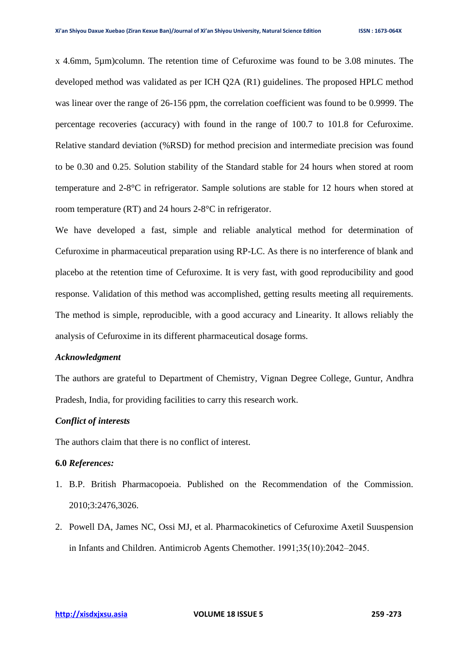x 4.6mm, 5µm)column. The retention time of Cefuroxime was found to be 3.08 minutes. The developed method was validated as per ICH Q2A (R1) guidelines. The proposed HPLC method was linear over the range of 26-156 ppm, the correlation coefficient was found to be 0.9999. The percentage recoveries (accuracy) with found in the range of 100.7 to 101.8 for Cefuroxime. Relative standard deviation (%RSD) for method precision and intermediate precision was found to be 0.30 and 0.25. Solution stability of the Standard stable for 24 hours when stored at room temperature and 2-8°C in refrigerator. Sample solutions are stable for 12 hours when stored at room temperature (RT) and 24 hours 2-8°C in refrigerator.

We have developed a fast, simple and reliable analytical method for determination of Cefuroxime in pharmaceutical preparation using RP-LC. As there is no interference of blank and placebo at the retention time of Cefuroxime. It is very fast, with good reproducibility and good response. Validation of this method was accomplished, getting results meeting all requirements. The method is simple, reproducible, with a good accuracy and Linearity. It allows reliably the analysis of Cefuroxime in its different pharmaceutical dosage forms.

#### *Acknowledgment*

The authors are grateful to Department of Chemistry, Vignan Degree College, Guntur, Andhra Pradesh, India, for providing facilities to carry this research work.

# *Conflict of interests*

The authors claim that there is no conflict of interest.

## **6.0** *References:*

- 1. B.P. British Pharmacopoeia. Published on the Recommendation of the Commission. 2010;3:2476,3026.
- 2. Powell DA, James NC, Ossi MJ, et al. Pharmacokinetics of Cefuroxime Axetil Suuspension in Infants and Children. Antimicrob Agents Chemother. 1991;35(10):2042–2045.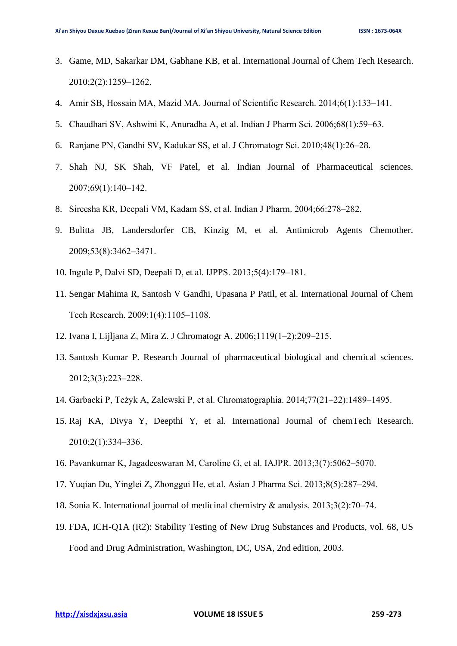- 3. Game, MD, Sakarkar DM, Gabhane KB, et al. International Journal of Chem Tech Research. 2010;2(2):1259‒1262.
- 4. Amir SB, Hossain MA, Mazid MA. Journal of Scientific Research. 2014;6(1):133–141.
- 5. Chaudhari SV, Ashwini K, Anuradha A, et al. Indian J Pharm Sci. 2006;68(1):59–63.
- 6. Ranjane PN, Gandhi SV, Kadukar SS, et al. J Chromatogr Sci. 2010;48(1):26‒28.
- 7. Shah NJ, SK Shah, VF Patel, et al. Indian Journal of Pharmaceutical sciences. 2007;69(1):140‒142.
- 8. Sireesha KR, Deepali VM, Kadam SS, et al. Indian J Pharm. 2004;66:278–282.
- 9. Bulitta JB, Landersdorfer CB, Kinzig M, et al. Antimicrob Agents Chemother. 2009;53(8):3462‒3471.
- 10. Ingule P, Dalvi SD, Deepali D, et al. IJPPS. 2013;5(4):179‒181.
- 11. Sengar Mahima R, Santosh V Gandhi, Upasana P Patil, et al. International Journal of Chem Tech Research. 2009;1(4):1105-1108.
- 12. Ivana I, Lijljana Z, Mira Z. J Chromatogr A. 2006;1119(1‒2):209‒215.
- 13. Santosh Kumar P. Research Journal of pharmaceutical biological and chemical sciences. 2012;3(3):223‒228.
- 14. Garbacki P, Teżyk A, Zalewski P, et al. Chromatographia. 2014;77(21‒22):1489‒1495.
- 15. Raj KA, Divya Y, Deepthi Y, et al. International Journal of chemTech Research. 2010;2(1):334‒336.
- 16. Pavankumar K, Jagadeeswaran M, Caroline G, et al. IAJPR. 2013;3(7):5062‒5070.
- 17. Yuqian Du, Yinglei Z, Zhonggui He, et al. Asian J Pharma Sci. 2013;8(5):287‒294.
- 18. Sonia K. International journal of medicinal chemistry & analysis. 2013;3(2):70–74.
- 19. FDA, ICH-Q1A (R2): Stability Testing of New Drug Substances and Products, vol. 68, US Food and Drug Administration, Washington, DC, USA, 2nd edition, 2003.